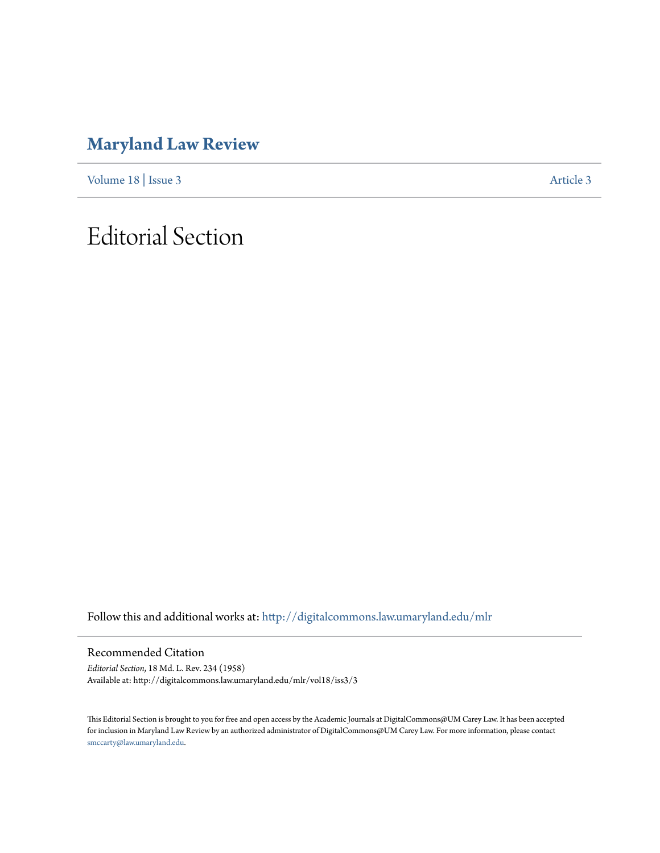### **[Maryland Law Review](http://digitalcommons.law.umaryland.edu/mlr?utm_source=digitalcommons.law.umaryland.edu%2Fmlr%2Fvol18%2Fiss3%2F3&utm_medium=PDF&utm_campaign=PDFCoverPages)**

[Volume 18](http://digitalcommons.law.umaryland.edu/mlr/vol18?utm_source=digitalcommons.law.umaryland.edu%2Fmlr%2Fvol18%2Fiss3%2F3&utm_medium=PDF&utm_campaign=PDFCoverPages) | [Issue 3](http://digitalcommons.law.umaryland.edu/mlr/vol18/iss3?utm_source=digitalcommons.law.umaryland.edu%2Fmlr%2Fvol18%2Fiss3%2F3&utm_medium=PDF&utm_campaign=PDFCoverPages) [Article 3](http://digitalcommons.law.umaryland.edu/mlr/vol18/iss3/3?utm_source=digitalcommons.law.umaryland.edu%2Fmlr%2Fvol18%2Fiss3%2F3&utm_medium=PDF&utm_campaign=PDFCoverPages)

## Editorial Section

Follow this and additional works at: [http://digitalcommons.law.umaryland.edu/mlr](http://digitalcommons.law.umaryland.edu/mlr?utm_source=digitalcommons.law.umaryland.edu%2Fmlr%2Fvol18%2Fiss3%2F3&utm_medium=PDF&utm_campaign=PDFCoverPages)

Recommended Citation

*Editorial Section*, 18 Md. L. Rev. 234 (1958) Available at: http://digitalcommons.law.umaryland.edu/mlr/vol18/iss3/3

This Editorial Section is brought to you for free and open access by the Academic Journals at DigitalCommons@UM Carey Law. It has been accepted for inclusion in Maryland Law Review by an authorized administrator of DigitalCommons@UM Carey Law. For more information, please contact [smccarty@law.umaryland.edu.](mailto:smccarty@law.umaryland.edu)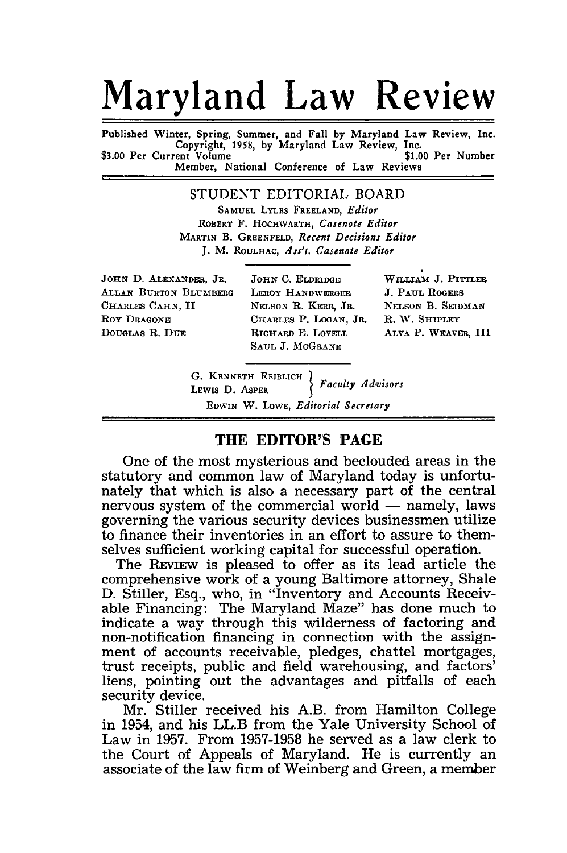# **Maryland Law Review**

Published Winter, Spring, Summer, and Fall **by** Maryland Law Review, Inc. Copyright, **1958, by** Maryland Law Review, Inc. \$3.00 Per Current Volume Member, National Conference of Law Reviews

> STUDENT EDITORIAL BOARD **SAMUEL** LYLES **FREELAND,** *Editor* ROBERT F. HOCHWARTH, *Casenote Editor* MARTIN B. GREENFELD, *Recent Decisions Editor* J. M. ROULHAC, *Ass't. Casenote Editor*

JOHN **D.** ALEXANDER, JR. **JOHN C.** ELDRIDGE **WILLIAM J. PITTLER ALLAN** BURTON BLUMBERG LEROY HANDWERGER **J. PAUL** ROGERS CHARLES CAHN, II NELSON R. KERR, JR. NELSON B. SEIDMAN Roy **DRAGONE** CHARLES P. **LOGAN, JR.** R. W. SHIPLEY DOUGLAS R. **DUE** RICHARD **E.** LovE.L ALVA P. WFAVER, III

**SAUL J. McGRANE**

**G. KENNETH** REIBLICH **LEwIS D.** ASPER *Faculty Advisors* EDWIN W. LOWE, *Editorial Secretary*

### **THE EDITOR'S PAGE**

One of the most mysterious and beclouded areas in the statutory and common law of Maryland today is unfortunately that which is also a necessary part of the central nervous system of the commercial world  $-$  namely, laws governing the various security devices businessmen utilize to finance their inventories in an effort to assure to themselves sufficient working capital for successful operation.

The REVIEw is pleased to offer as its lead article the comprehensive work of a young Baltimore attorney, Shale D. Stiller, Esq., who, in "Inventory and Accounts Receivable Financing: The Maryland Maze" has done much to indicate a way through this wilderness of factoring and non-notification financing in connection with the assignment of accounts receivable, pledges, chattel mortgages, trust receipts, public and field warehousing, and factors' liens, pointing out the advantages and pitfalls of each security device.

Mr. Stiller received his A.B. from Hamilton College in 1954, and his LL.B from the Yale University School of Law in 1957. From 1957-1958 he served as a law clerk to the Court of Appeals of Maryland. He is currently an associate of the law firm of Weinberg and Green, a member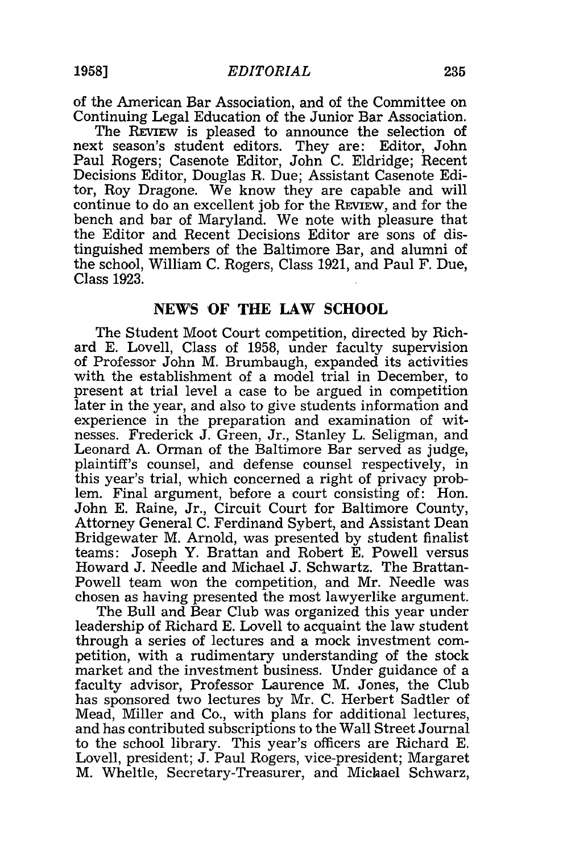of the American Bar Association, and of the Committee on Continuing Legal Education of the Junior Bar Association.

The REVIEW is pleased to announce the selection of next season's student editors. They are: Editor, John Paul Rogers; Casenote Editor, John C. Eldridge; Recent Decisions Editor, Douglas R. Due; Assistant Casenote Editor, Roy Dragone. We know they are capable and will continue to do an excellent job for the REVIEW, and for the bench and bar of Maryland. We note with pleasure that the Editor and Recent Decisions Editor are sons of distinguished members of the Baltimore Bar, and alumni of the school, William C. Rogers, Class 1921, and Paul F. Due, Class 1923.

#### **NEWS 'OF THE LAW SCHOOL**

The Student Moot Court competition, directed by Richard E. Lovell, Class of 1958, under faculty supervision of Professor John M. Brumbaugh, expanded its activities with the establishment of a model trial in December, to present at trial level a case to be argued in competition later in the year, and also to give students information and experience in the preparation and examination of witnesses. Frederick J. Green, Jr., Stanley L. Seligman, and Leonard A. Orman of the Baltimore Bar served as judge, plaintiff's counsel, and defense counsel respectively, in this year's trial, which concerned a right of privacy problem. Final argument, before a court consisting of: Hon. John E. Raine, Jr., Circuit Court for Baltimore County, Attorney General C. Ferdinand Sybert, and Assistant Dean Bridgewater M. Arnold, was presented by student finalist teams: Joseph Y. Brattan and Robert E. Powell versus Howard J. Needle and Michael J. Schwartz. The Brattan-Powell team won the competition, and Mr. Needle was chosen as having presented the most lawyerlike argument.

The Bull and Bear Club was organized this year under leadership of Richard E. Lovell to acquaint the law student through a series of lectures and a mock investment competition, with a rudimentary understanding of the stock market and the investment business. Under guidance of a faculty advisor, Professor Laurence M. Jones, the Club has sponsored two lectures by Mr. C. Herbert Sadtler of Mead, Miller and Co., with plans for additional lectures, and has contributed subscriptions to the Wall Street Journal to the school library. This year's officers are Richard E. Lovell, president; J. Paul Rogers, vice-president; Margaret M. Wheltle, Secretary-Treasurer, and Michael Schwarz,